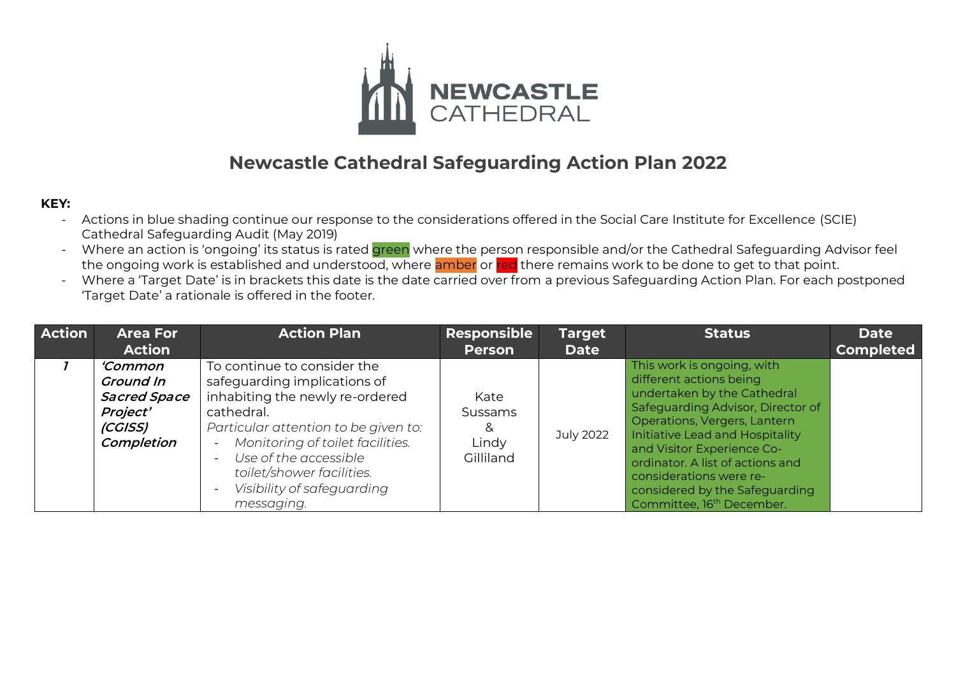

## **Newcastle Cathedral Safeguarding Action Plan 2022**

## **KEY:**

- Actions in blue shading continue our response to the considerations offered in the Social Care Institute for Excellence (SCIE) Cathedral Safeguarding Audit (May 2019)
- Where an action is 'ongoing' its status is rated green where the person responsible and/or the Cathedral Safeguarding Advisor feel the ongoing work is established and understood, where amber or red there remains work to be done to get to that point.
- Where a 'Target Date' is in brackets this date is the date carried over from a previous Safeguarding Action Plan. For each postponed 'Target Date' a rationale is offered in the footer.

| <b>Action</b> | <b>Area For</b><br><b>Action</b>                                                         | <b>Action Plan</b>                                                                                                                                                                                                                                                                                                                                 | Responsible<br><b>Person</b>                      | <b>Target</b><br><b>Date</b> | <b>Status</b>                                                                                                                                                                                                                                                                                                                                                        | <b>Date</b><br><b>Completed</b> |
|---------------|------------------------------------------------------------------------------------------|----------------------------------------------------------------------------------------------------------------------------------------------------------------------------------------------------------------------------------------------------------------------------------------------------------------------------------------------------|---------------------------------------------------|------------------------------|----------------------------------------------------------------------------------------------------------------------------------------------------------------------------------------------------------------------------------------------------------------------------------------------------------------------------------------------------------------------|---------------------------------|
|               | 'Common'<br><b>Ground In</b><br><b>Sacred Space</b><br>Project'<br>(CGISS)<br>Completion | To continue to consider the<br>safeguarding implications of<br>inhabiting the newly re-ordered<br>cathedral.<br>Particular attention to be given to:<br>Monitoring of toilet facilities.<br>$\overline{\phantom{0}}$<br>Use of the accessible<br>$\overline{\phantom{0}}$<br>toilet/shower facilities.<br>Visibility of safeguarding<br>messaging. | Kate<br><b>Sussams</b><br>&<br>Lindy<br>Gilliland | July 2022                    | This work is ongoing, with<br>different actions being<br>undertaken by the Cathedral<br>Safeguarding Advisor, Director of<br>Operations, Vergers, Lantern<br>Initiative Lead and Hospitality<br>and Visitor Experience Co-<br>ordinator. A list of actions and<br>considerations were re-<br>considered by the Safeguarding<br>Committee, 16 <sup>th</sup> December. |                                 |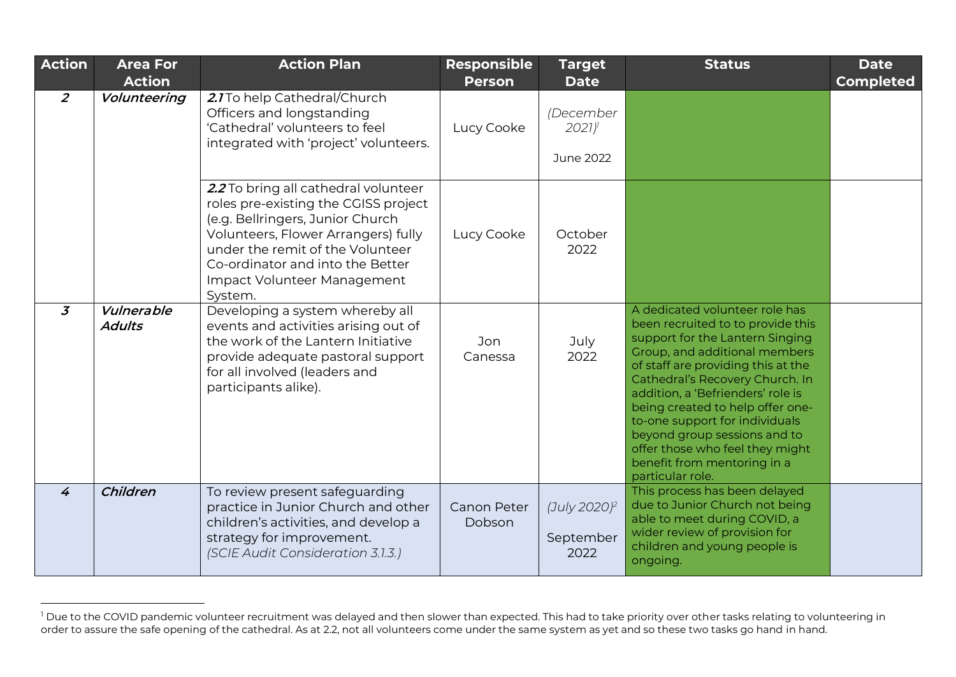| <b>Action</b>  | <b>Area For</b><br><b>Action</b> | <b>Action Plan</b>                                                                                                                                                                                                                                                        | <b>Responsible</b><br><b>Person</b> | <b>Target</b><br><b>Date</b>                                    | <b>Status</b>                                                                                                                                                                                                                                                                                                                                                                                                                                     | <b>Date</b><br><b>Completed</b> |
|----------------|----------------------------------|---------------------------------------------------------------------------------------------------------------------------------------------------------------------------------------------------------------------------------------------------------------------------|-------------------------------------|-----------------------------------------------------------------|---------------------------------------------------------------------------------------------------------------------------------------------------------------------------------------------------------------------------------------------------------------------------------------------------------------------------------------------------------------------------------------------------------------------------------------------------|---------------------------------|
| $\overline{2}$ | Volunteering                     | 2.1 To help Cathedral/Church<br>Officers and longstanding<br>'Cathedral' volunteers to feel<br>integrated with 'project' volunteers.                                                                                                                                      | Lucy Cooke                          | (December<br>$2021$ <sup><math>\prime</math></sup><br>June 2022 |                                                                                                                                                                                                                                                                                                                                                                                                                                                   |                                 |
|                |                                  | 2.2 To bring all cathedral volunteer<br>roles pre-existing the CGISS project<br>(e.g. Bellringers, Junior Church<br>Volunteers, Flower Arrangers) fully<br>under the remit of the Volunteer<br>Co-ordinator and into the Better<br>Impact Volunteer Management<br>System. | Lucy Cooke                          | October<br>2022                                                 |                                                                                                                                                                                                                                                                                                                                                                                                                                                   |                                 |
| $\overline{3}$ | Vulnerable<br><b>Adults</b>      | Developing a system whereby all<br>events and activities arising out of<br>the work of the Lantern Initiative<br>provide adequate pastoral support<br>for all involved (leaders and<br>participants alike).                                                               | Jon<br>Canessa                      | July<br>2022                                                    | A dedicated volunteer role has<br>been recruited to to provide this<br>support for the Lantern Singing<br>Group, and additional members<br>of staff are providing this at the<br>Cathedral's Recovery Church. In<br>addition, a 'Befrienders' role is<br>being created to help offer one-<br>to-one support for individuals<br>beyond group sessions and to<br>offer those who feel they might<br>benefit from mentoring in a<br>particular role. |                                 |
| $\overline{4}$ | Children                         | To review present safeguarding<br>practice in Junior Church and other<br>children's activities, and develop a<br>strategy for improvement.<br>(SCIE Audit Consideration 3.1.3.)                                                                                           | <b>Canon Peter</b><br>Dobson        | (July 2020) <sup>2</sup><br>September<br>2022                   | This process has been delayed<br>due to Junior Church not being<br>able to meet during COVID, a<br>wider review of provision for<br>children and young people is<br>ongoing.                                                                                                                                                                                                                                                                      |                                 |

 $^{\rm l}$  Due to the COVID pandemic volunteer recruitment was delayed and then slower than expected. This had to take priority over other tasks relating to volunteering in order to assure the safe opening of the cathedral. As at 2.2, not all volunteers come under the same system as yet and so these two tasks go hand in hand.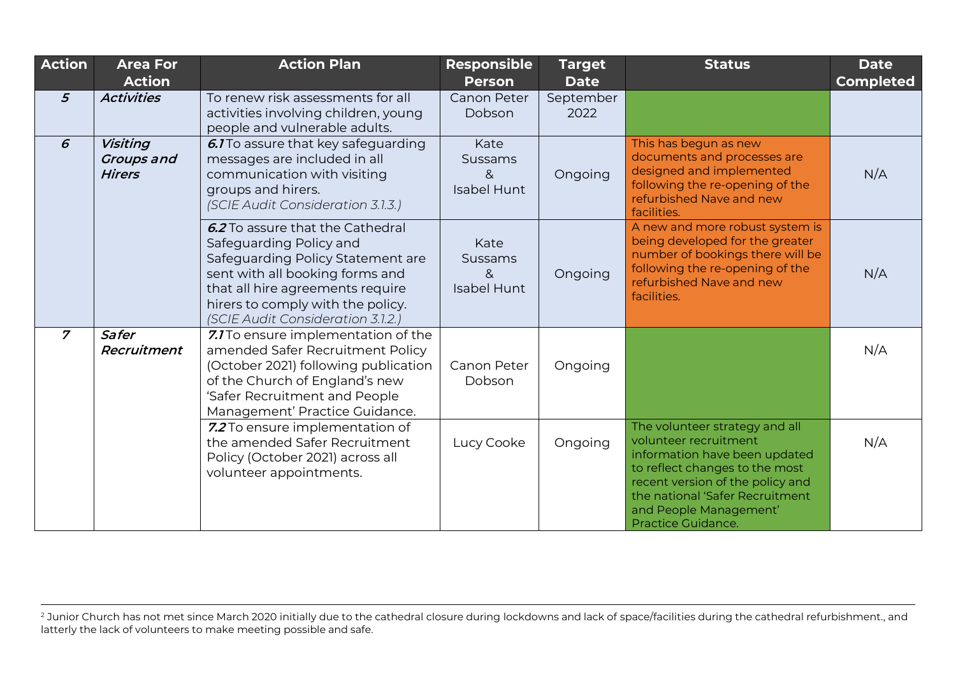| Action          | <b>Area For</b><br><b>Action</b>               | <b>Action Plan</b>                                                                                                                                                                                                                                | <b>Responsible</b><br><b>Person</b>               | <b>Target</b><br><b>Date</b> | <b>Status</b>                                                                                                                                                                                                                                     | <b>Date</b><br><b>Completed</b> |
|-----------------|------------------------------------------------|---------------------------------------------------------------------------------------------------------------------------------------------------------------------------------------------------------------------------------------------------|---------------------------------------------------|------------------------------|---------------------------------------------------------------------------------------------------------------------------------------------------------------------------------------------------------------------------------------------------|---------------------------------|
| $5\overline{5}$ | <b>Activities</b>                              | To renew risk assessments for all<br>activities involving children, young<br>people and vulnerable adults.                                                                                                                                        | Canon Peter<br>Dobson                             | September<br>2022            |                                                                                                                                                                                                                                                   |                                 |
| 6               | <b>Visiting</b><br>Groups and<br><b>Hirers</b> | 6.1 To assure that key safeguarding<br>messages are included in all<br>communication with visiting<br>groups and hirers.<br>(SCIE Audit Consideration 3.1.3.)                                                                                     | Kate<br>Sussams<br>8<br><b>Isabel Hunt</b>        | Ongoing                      | This has begun as new<br>documents and processes are<br>designed and implemented<br>following the re-opening of the<br>refurbished Nave and new<br>facilities.                                                                                    | N/A                             |
|                 |                                                | 6.2 To assure that the Cathedral<br>Safeguarding Policy and<br>Safeguarding Policy Statement are<br>sent with all booking forms and<br>that all hire agreements require<br>hirers to comply with the policy.<br>(SCIE Audit Consideration 3.1.2.) | Kate<br><b>Sussams</b><br>8<br><b>Isabel Hunt</b> | Ongoing                      | A new and more robust system is<br>being developed for the greater<br>number of bookings there will be<br>following the re-opening of the<br>refurbished Nave and new<br>facilities.                                                              | N/A                             |
| $\overline{z}$  | Safer<br>Recruitment                           | 7.1 To ensure implementation of the<br>amended Safer Recruitment Policy<br>(October 2021) following publication<br>of the Church of England's new<br>'Safer Recruitment and People<br>Management' Practice Guidance.                              | Canon Peter<br>Dobson                             | Ongoing                      |                                                                                                                                                                                                                                                   | N/A                             |
|                 |                                                | 7.2 To ensure implementation of<br>the amended Safer Recruitment<br>Policy (October 2021) across all<br>volunteer appointments.                                                                                                                   | Lucy Cooke                                        | Ongoing                      | The volunteer strategy and all<br>volunteer recruitment<br>information have been updated<br>to reflect changes to the most<br>recent version of the policy and<br>the national 'Safer Recruitment<br>and People Management'<br>Practice Guidance. | N/A                             |

 $^2$  Junior Church has not met since March 2020 initially due to the cathedral closure during lockdowns and lack of space/facilities during the cathedral refurbishment., and latterly the lack of volunteers to make meeting possible and safe.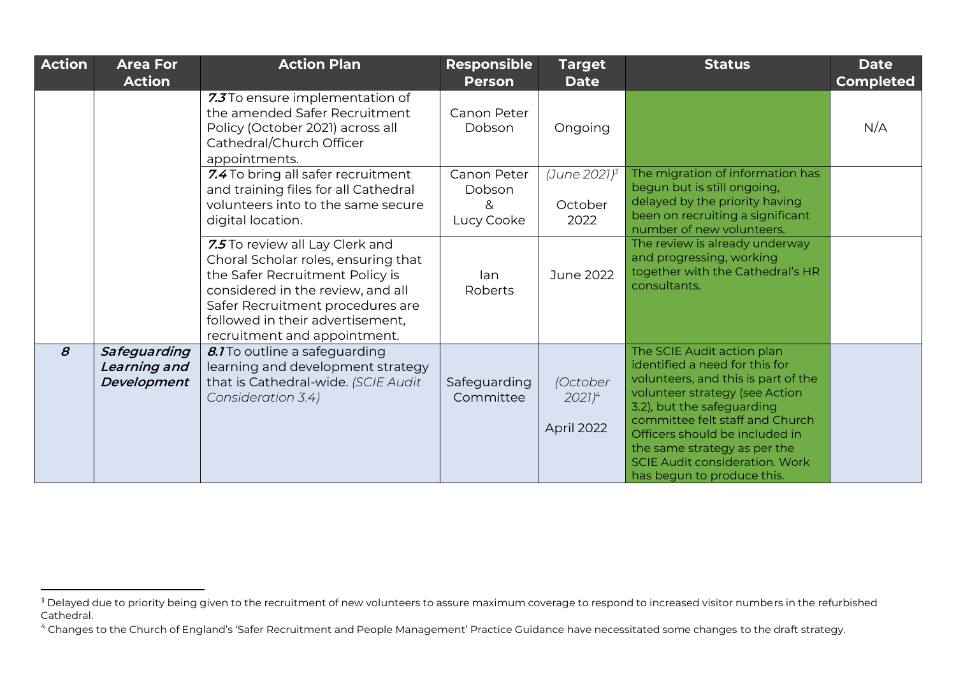| <b>Action</b> | <b>Area For</b><br><b>Action</b>            | <b>Action Plan</b>                                                                                                                                                                                                                                     | <b>Responsible</b><br><b>Person</b>      | <b>Target</b><br><b>Date</b>        | <b>Status</b>                                                                                                                                                                                                                                                                                                                                   | <b>Date</b><br><b>Completed</b> |
|---------------|---------------------------------------------|--------------------------------------------------------------------------------------------------------------------------------------------------------------------------------------------------------------------------------------------------------|------------------------------------------|-------------------------------------|-------------------------------------------------------------------------------------------------------------------------------------------------------------------------------------------------------------------------------------------------------------------------------------------------------------------------------------------------|---------------------------------|
|               |                                             | 7.3 To ensure implementation of<br>the amended Safer Recruitment<br>Policy (October 2021) across all<br>Cathedral/Church Officer<br>appointments.                                                                                                      | Canon Peter<br>Dobson                    | Ongoing                             |                                                                                                                                                                                                                                                                                                                                                 | N/A                             |
|               |                                             | 7.4 To bring all safer recruitment<br>and training files for all Cathedral<br>volunteers into to the same secure<br>digital location.                                                                                                                  | Canon Peter<br>Dobson<br>&<br>Lucy Cooke | (June 2021) $^3$<br>October<br>2022 | The migration of information has<br>begun but is still ongoing,<br>delayed by the priority having<br>been on recruiting a significant<br>number of new volunteers.                                                                                                                                                                              |                                 |
|               |                                             | 7.5 To review all Lay Clerk and<br>Choral Scholar roles, ensuring that<br>the Safer Recruitment Policy is<br>considered in the review, and all<br>Safer Recruitment procedures are<br>followed in their advertisement,<br>recruitment and appointment. | lan<br>Roberts                           | <b>June 2022</b>                    | The review is already underway<br>and progressing, working<br>together with the Cathedral's HR<br>consultants.                                                                                                                                                                                                                                  |                                 |
| $\mathcal{B}$ | Safeguarding<br>Learning and<br>Development | 8.1 To outline a safeguarding<br>learning and development strategy<br>that is Cathedral-wide. (SCIE Audit<br>Consideration 3.4)                                                                                                                        | Safeguarding<br>Committee                | (October<br>$2021)^4$<br>April 2022 | The SCIE Audit action plan<br>identified a need for this for<br>volunteers, and this is part of the<br>volunteer strategy (see Action<br>3.2), but the safeguarding<br>committee felt staff and Church<br>Officers should be included in<br>the same strategy as per the<br><b>SCIE Audit consideration. Work</b><br>has begun to produce this. |                                 |

<sup>&</sup>lt;sup>3</sup> Delayed due to priority being given to the recruitment of new volunteers to assure maximum coverage to respond to increased visitor numbers in the refurbished Cathedral.

<sup>4</sup> Changes to the Church of England's 'Safer Recruitment and People Management' Practice Guidance have necessitated some changes to the draft strategy.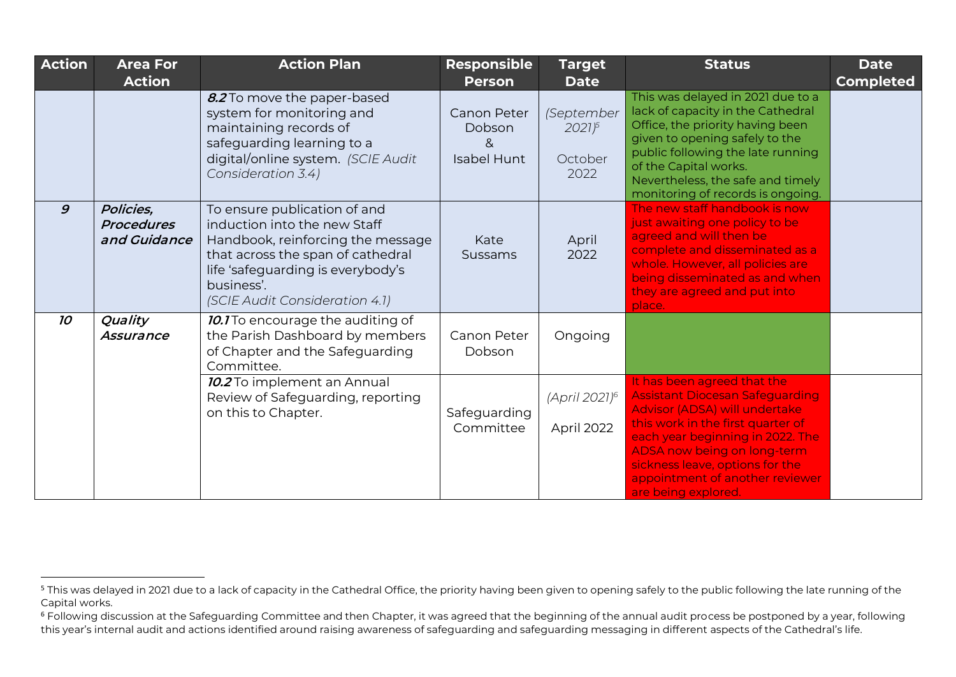| <b>Action</b>   | <b>Area For</b><br><b>Action</b>               | <b>Action Plan</b>                                                                                                                                                                                                          | <b>Responsible</b><br><b>Person</b>                     | <b>Target</b><br><b>Date</b>                | <b>Status</b>                                                                                                                                                                                                                                                                                               | <b>Date</b><br><b>Completed</b> |
|-----------------|------------------------------------------------|-----------------------------------------------------------------------------------------------------------------------------------------------------------------------------------------------------------------------------|---------------------------------------------------------|---------------------------------------------|-------------------------------------------------------------------------------------------------------------------------------------------------------------------------------------------------------------------------------------------------------------------------------------------------------------|---------------------------------|
|                 |                                                | 8.2 To move the paper-based<br>system for monitoring and<br>maintaining records of<br>safeguarding learning to a<br>digital/online system. (SCIE Audit<br>Consideration 3.4)                                                | <b>Canon Peter</b><br>Dobson<br>&<br><b>Isabel Hunt</b> | (September<br>$2021^{5}$<br>October<br>2022 | This was delayed in 2021 due to a<br>lack of capacity in the Cathedral<br>Office, the priority having been<br>given to opening safely to the<br>public following the late running<br>of the Capital works.<br>Nevertheless, the safe and timely<br>monitoring of records is ongoing.                        |                                 |
| $\mathfrak{g}$  | Policies,<br><b>Procedures</b><br>and Guidance | To ensure publication of and<br>induction into the new Staff<br>Handbook, reinforcing the message<br>that across the span of cathedral<br>life 'safeguarding is everybody's<br>business'.<br>(SCIE Audit Consideration 4.1) | Kate<br>Sussams                                         | April<br>2022                               | The new staff handbook is now<br>just awaiting one policy to be<br>agreed and will then be<br>complete and disseminated as a<br>whole. However, all policies are<br>being disseminated as and when<br>they are agreed and put into<br>place.                                                                |                                 |
| 10 <sup>°</sup> | Quality<br>Assurance                           | 10.1 To encourage the auditing of<br>the Parish Dashboard by members<br>of Chapter and the Safeguarding<br>Committee.                                                                                                       | Canon Peter<br>Dobson                                   | Ongoing                                     |                                                                                                                                                                                                                                                                                                             |                                 |
|                 |                                                | 10.2 To implement an Annual<br>Review of Safeguarding, reporting<br>on this to Chapter.                                                                                                                                     | Safeguarding<br>Committee                               | (April 2021) <sup>6</sup><br>April 2022     | It has been agreed that the<br><b>Assistant Diocesan Safeguarding</b><br>Advisor (ADSA) will undertake<br>this work in the first quarter of<br>each year beginning in 2022. The<br>ADSA now being on long-term<br>sickness leave, options for the<br>appointment of another reviewer<br>are being explored. |                                 |

<sup>&</sup>lt;sup>5</sup> This was delayed in 2021 due to a lack of capacity in the Cathedral Office, the priority having been given to opening safely to the public following the late running of the Capital works.

<sup>&</sup>lt;sup>6</sup> Following discussion at the Safeguarding Committee and then Chapter, it was agreed that the beginning of the annual audit process be postponed by a year, following this year's internal audit and actions identified around raising awareness of safeguarding and safeguarding messaging in different aspects of the Cathedral's life.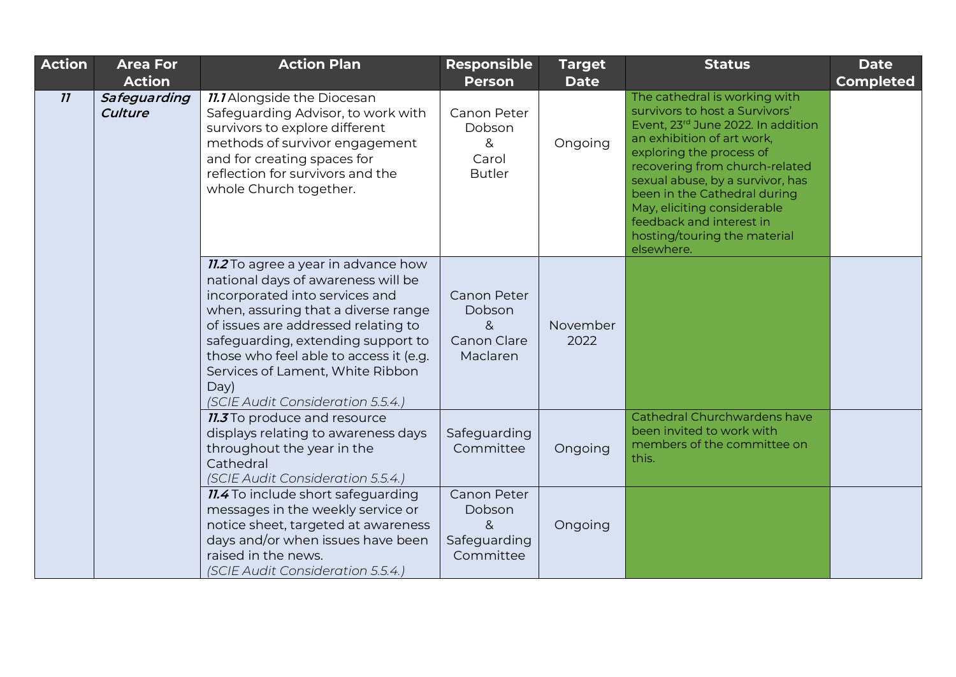| Action | <b>Area For</b><br><b>Action</b> | <b>Action Plan</b>                                                                                                                                                                                                                                                                                                                                                | <b>Responsible</b><br><b>Person</b>                     | <b>Target</b><br><b>Date</b> | <b>Status</b>                                                                                                                                                                                                                                                                                                                                                                  | <b>Date</b><br><b>Completed</b> |
|--------|----------------------------------|-------------------------------------------------------------------------------------------------------------------------------------------------------------------------------------------------------------------------------------------------------------------------------------------------------------------------------------------------------------------|---------------------------------------------------------|------------------------------|--------------------------------------------------------------------------------------------------------------------------------------------------------------------------------------------------------------------------------------------------------------------------------------------------------------------------------------------------------------------------------|---------------------------------|
| 11     | Safeguarding<br>Culture          | <b>11.1</b> Alongside the Diocesan<br>Safeguarding Advisor, to work with<br>survivors to explore different<br>methods of survivor engagement<br>and for creating spaces for<br>reflection for survivors and the<br>whole Church together.                                                                                                                         | Canon Peter<br>Dobson<br>&<br>Carol<br><b>Butler</b>    | Ongoing                      | The cathedral is working with<br>survivors to host a Survivors'<br>Event, 23rd June 2022. In addition<br>an exhibition of art work,<br>exploring the process of<br>recovering from church-related<br>sexual abuse, by a survivor, has<br>been in the Cathedral during<br>May, eliciting considerable<br>feedback and interest in<br>hosting/touring the material<br>elsewhere. |                                 |
|        |                                  | <b>11.2</b> To agree a year in advance how<br>national days of awareness will be<br>incorporated into services and<br>when, assuring that a diverse range<br>of issues are addressed relating to<br>safeguarding, extending support to<br>those who feel able to access it (e.g.<br>Services of Lament, White Ribbon<br>Day)<br>(SCIE Audit Consideration 5.5.4.) | Canon Peter<br>Dobson<br>8<br>Canon Clare<br>Maclaren   | November<br>2022             |                                                                                                                                                                                                                                                                                                                                                                                |                                 |
|        |                                  | <b>11.3</b> To produce and resource<br>displays relating to awareness days<br>throughout the year in the<br>Cathedral<br>(SCIE Audit Consideration 5.5.4.)                                                                                                                                                                                                        | Safeguarding<br>Committee                               | Ongoing                      | Cathedral Churchwardens have<br>been invited to work with<br>members of the committee on<br>this.                                                                                                                                                                                                                                                                              |                                 |
|        |                                  | <b>11.4</b> To include short safeguarding<br>messages in the weekly service or<br>notice sheet, targeted at awareness<br>days and/or when issues have been<br>raised in the news.<br>(SCIE Audit Consideration 5.5.4.)                                                                                                                                            | Canon Peter<br>Dobson<br>8<br>Safeguarding<br>Committee | Ongoing                      |                                                                                                                                                                                                                                                                                                                                                                                |                                 |